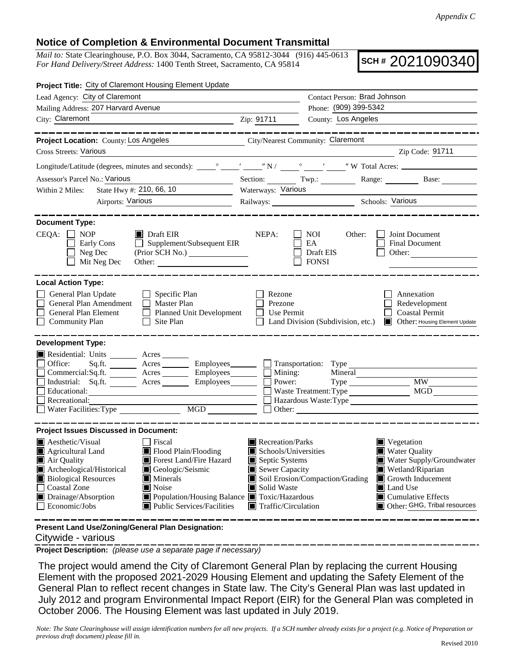## **Notice of Completion & Environmental Document Transmittal**

*Mail to:* State Clearinghouse, P.O. Box 3044, Sacramento, CA 95812-3044 (916) 445-0613 *For Hand Delivery/Street Address:* 1400 Tenth Street, Sacramento, CA 95814

**SCH #** 2021090340

| Project Title: City of Claremont Housing Element Update                                                                                                                                             |                                                                                |                                                                                                                        |  |  |
|-----------------------------------------------------------------------------------------------------------------------------------------------------------------------------------------------------|--------------------------------------------------------------------------------|------------------------------------------------------------------------------------------------------------------------|--|--|
| Lead Agency: City of Claremont                                                                                                                                                                      |                                                                                | Contact Person: Brad Johnson                                                                                           |  |  |
| Mailing Address: 207 Harvard Avenue                                                                                                                                                                 | Phone: (909) 399-5342                                                          |                                                                                                                        |  |  |
| City: Claremont<br><u> 1989 - Jan Barnett, fransk politik (d. 1989)</u>                                                                                                                             | County: Los Angeles<br>Zip: 91711                                              |                                                                                                                        |  |  |
| . __ __ __ __ __ __ __ __                                                                                                                                                                           |                                                                                | . __ __ __ __ __ __ __ __ __ __ __                                                                                     |  |  |
| Project Location: County: Los Angeles                                                                                                                                                               | City/Nearest Community: Claremont                                              |                                                                                                                        |  |  |
| <b>Cross Streets: Various</b>                                                                                                                                                                       | <u> 1980 - Johann Barbara, martin eta politikar</u>                            | Zip Code: 91711                                                                                                        |  |  |
|                                                                                                                                                                                                     |                                                                                |                                                                                                                        |  |  |
| Assessor's Parcel No.: Various                                                                                                                                                                      | Section: Twp.: Range: Base:                                                    |                                                                                                                        |  |  |
| State Hwy #: 210, 66, 10<br>Within 2 Miles:                                                                                                                                                         | Waterways: Various                                                             |                                                                                                                        |  |  |
| Airports: Various                                                                                                                                                                                   | Railways: Schools: Various                                                     |                                                                                                                        |  |  |
| <b>Document Type:</b><br>$CEQA: \Box NP$<br>$\blacksquare$ Draft EIR<br>Early Cons<br>Supplement/Subsequent EIR<br>$\perp$<br>Neg Dec<br>Mit Neg Dec                                                | NEPA:<br>NOI 11<br>Other:<br>EA<br>Draft EIS<br><b>FONSI</b>                   | Joint Document<br>Final Document<br>Other:                                                                             |  |  |
| <b>Local Action Type:</b>                                                                                                                                                                           |                                                                                |                                                                                                                        |  |  |
| General Plan Update<br>$\Box$ Specific Plan<br>General Plan Amendment<br>$\Box$ Master Plan<br><b>General Plan Element</b><br>Planned Unit Development<br>$\Box$ Community Plan<br>$\Box$ Site Plan | Rezone<br>Prezone<br>Use Permit                                                | Annexation<br>Redevelopment<br><b>Coastal Permit</b><br>Land Division (Subdivision, etc.) Cher: Housing Element Update |  |  |
| <b>Development Type:</b><br>Residential: Units _________ Acres _______                                                                                                                              |                                                                                |                                                                                                                        |  |  |
| Office:<br>Sq.ft. ________ Acres _________ Employees _______ __ Transportation: Type                                                                                                                |                                                                                |                                                                                                                        |  |  |
| Commercial:Sq.ft. ________ Acres _________ Employees ________ $\square$                                                                                                                             | Mining:<br>Mineral                                                             |                                                                                                                        |  |  |
| Industrial: Sq.ft. _______ Acres ________ Employees_______                                                                                                                                          | Power:                                                                         | <b>MW</b>                                                                                                              |  |  |
| Educational:<br><u> 1989 - Johann Stein, fransk politiker (d. 1989)</u><br>Recreational:                                                                                                            | Waste Treatment: Type<br>Hazardous Waste: Type                                 | <b>MGD</b>                                                                                                             |  |  |
|                                                                                                                                                                                                     | $\Box$ Other: $\Box$                                                           |                                                                                                                        |  |  |
|                                                                                                                                                                                                     |                                                                                |                                                                                                                        |  |  |
| <b>Project Issues Discussed in Document:</b>                                                                                                                                                        |                                                                                |                                                                                                                        |  |  |
| $\blacksquare$ Aesthetic/Visual<br><b>Fiscal</b><br>Agricultural Land<br>Flood Plain/Flooding                                                                                                       | Recreation/Parks<br>Vegetation<br>Schools/Universities<br><b>Water Quality</b> |                                                                                                                        |  |  |
| Forest Land/Fire Hazard<br>Air Quality                                                                                                                                                              | Septic Systems                                                                 | Water Supply/Groundwater                                                                                               |  |  |
| Archeological/Historical<br>Geologic/Seismic                                                                                                                                                        | Sewer Capacity                                                                 | $\blacksquare$ Wetland/Riparian                                                                                        |  |  |
| <b>Biological Resources</b><br>Minerals                                                                                                                                                             | Soil Erosion/Compaction/Grading                                                | Growth Inducement                                                                                                      |  |  |
| <b>Coastal Zone</b><br>Noise<br>Drainage/Absorption<br>■ Population/Housing Balance ■ Toxic/Hazardous                                                                                               | Solid Waste<br>Land Use<br>$\blacksquare$ Cumulative Effects                   |                                                                                                                        |  |  |
| Public Services/Facilities<br>Economic/Jobs                                                                                                                                                         | Other: GHG, Tribal resources<br>$\blacksquare$ Traffic/Circulation             |                                                                                                                        |  |  |

**Present Land Use/Zoning/General Plan Designation:**

Citywide - various

**Project Description:** *(please use a separate page if necessary)*

 The project would amend the City of Claremont General Plan by replacing the current Housing Element with the proposed 2021-2029 Housing Element and updating the Safety Element of the General Plan to reflect recent changes in State law. The City's General Plan was last updated in July 2012 and program Environmental Impact Report (EIR) for the General Plan was completed in October 2006. The Housing Element was last updated in July 2019.

*Note: The State Clearinghouse will assign identification numbers for all new projects. If a SCH number already exists for a project (e.g. Notice of Preparation or previous draft document) please fill in.*